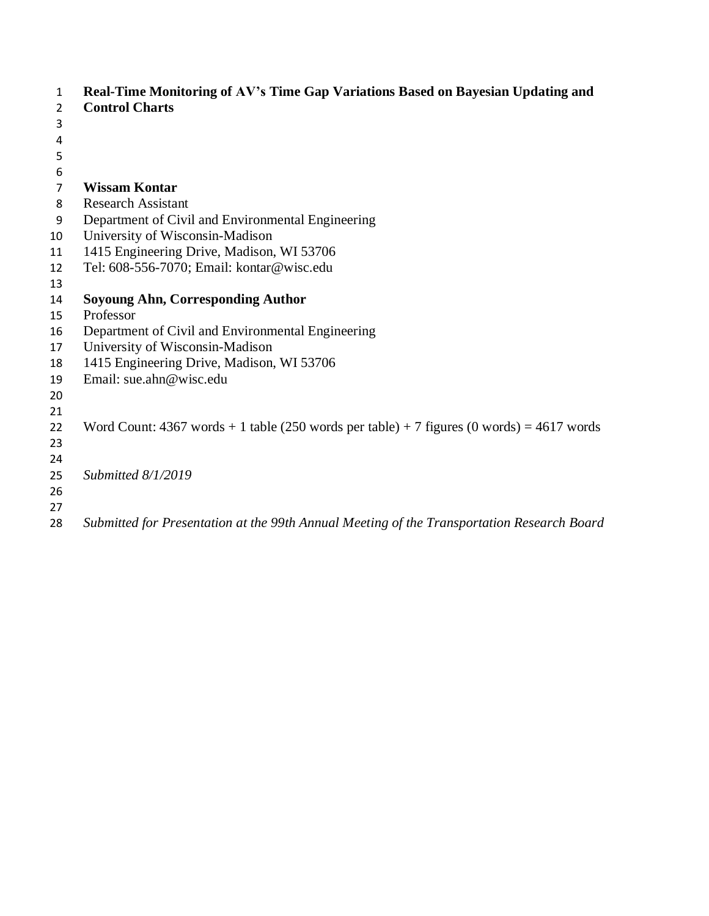| 1  | Real-Time Monitoring of AV's Time Gap Variations Based on Bayesian Updating and                 |
|----|-------------------------------------------------------------------------------------------------|
| 2  | <b>Control Charts</b>                                                                           |
| 3  |                                                                                                 |
| 4  |                                                                                                 |
| 5  |                                                                                                 |
| 6  |                                                                                                 |
| 7  | <b>Wissam Kontar</b>                                                                            |
| 8  | <b>Research Assistant</b>                                                                       |
| 9  | Department of Civil and Environmental Engineering                                               |
| 10 | University of Wisconsin-Madison                                                                 |
| 11 | 1415 Engineering Drive, Madison, WI 53706                                                       |
| 12 | Tel: 608-556-7070; Email: kontar@wisc.edu                                                       |
| 13 |                                                                                                 |
| 14 | <b>Soyoung Ahn, Corresponding Author</b>                                                        |
| 15 | Professor                                                                                       |
| 16 | Department of Civil and Environmental Engineering                                               |
| 17 | University of Wisconsin-Madison                                                                 |
| 18 | 1415 Engineering Drive, Madison, WI 53706                                                       |
| 19 | Email: sue.ahn@wisc.edu                                                                         |
| 20 |                                                                                                 |
| 21 |                                                                                                 |
| 22 | Word Count: $4367$ words $+ 1$ table (250 words per table) $+ 7$ figures (0 words) = 4617 words |
| 23 |                                                                                                 |
| 24 |                                                                                                 |
| 25 | Submitted 8/1/2019                                                                              |
| 26 |                                                                                                 |
| 27 |                                                                                                 |
| 28 | Submitted for Presentation at the 99th Annual Meeting of the Transportation Research Board      |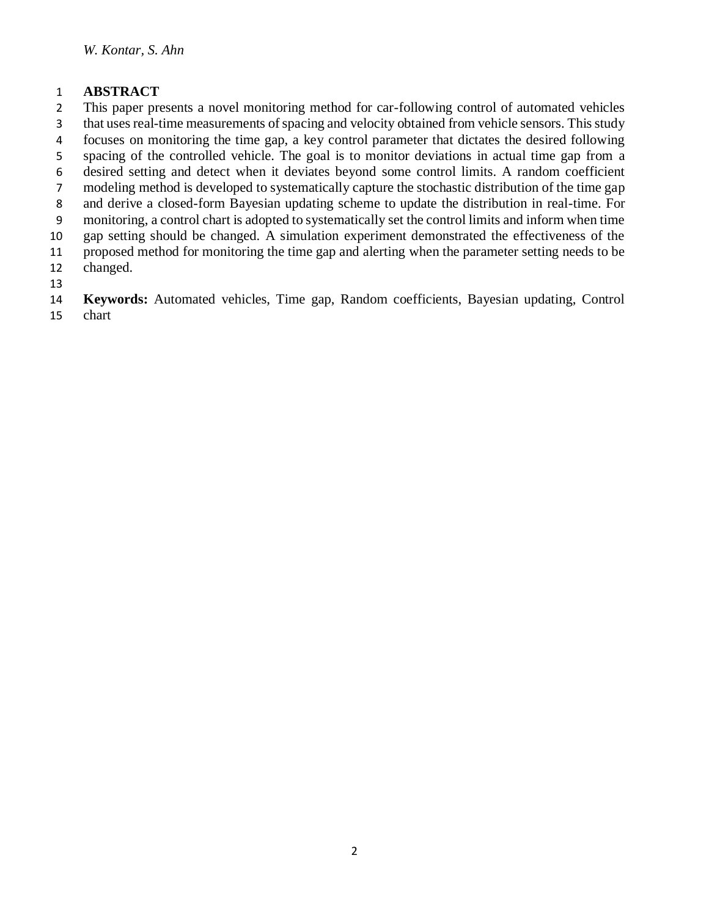## **ABSTRACT**

 This paper presents a novel monitoring method for car-following control of automated vehicles that uses real-time measurements of spacing and velocity obtained from vehicle sensors. This study

focuses on monitoring the time gap, a key control parameter that dictates the desired following

- spacing of the controlled vehicle. The goal is to monitor deviations in actual time gap from a
- desired setting and detect when it deviates beyond some control limits. A random coefficient
- modeling method is developed to systematically capture the stochastic distribution of the time gap
- and derive a closed-form Bayesian updating scheme to update the distribution in real-time. For
- monitoring, a control chart is adopted to systematically set the control limits and inform when time

gap setting should be changed. A simulation experiment demonstrated the effectiveness of the

proposed method for monitoring the time gap and alerting when the parameter setting needs to be

- changed.
- 

 **Keywords:** Automated vehicles, Time gap, Random coefficients, Bayesian updating, Control chart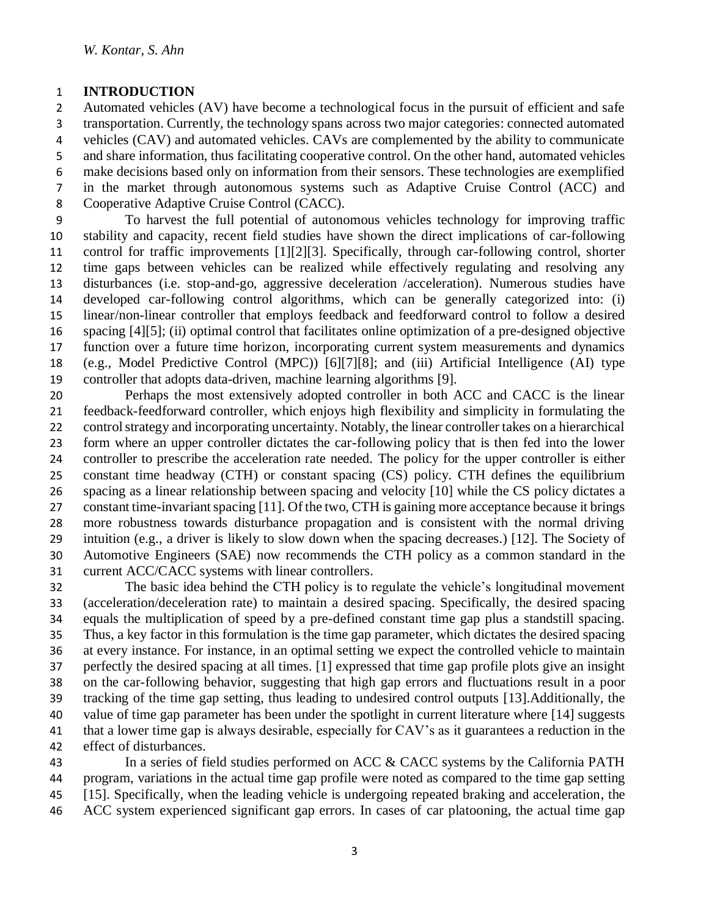## **INTRODUCTION**

 Automated vehicles (AV) have become a technological focus in the pursuit of efficient and safe transportation. Currently, the technology spans across two major categories: connected automated vehicles (CAV) and automated vehicles. CAVs are complemented by the ability to communicate and share information, thus facilitating cooperative control. On the other hand, automated vehicles make decisions based only on information from their sensors. These technologies are exemplified in the market through autonomous systems such as Adaptive Cruise Control (ACC) and Cooperative Adaptive Cruise Control (CACC).

 To harvest the full potential of autonomous vehicles technology for improving traffic stability and capacity, recent field studies have shown the direct implications of car-following control for traffic improvements [1][2][3]. Specifically, through car-following control, shorter time gaps between vehicles can be realized while effectively regulating and resolving any disturbances (i.e. stop-and-go, aggressive deceleration /acceleration). Numerous studies have developed car-following control algorithms, which can be generally categorized into: (i) linear/non-linear controller that employs feedback and feedforward control to follow a desired spacing [4][5]; (ii) optimal control that facilitates online optimization of a pre-designed objective function over a future time horizon, incorporating current system measurements and dynamics (e.g., Model Predictive Control (MPC)) [6][7][8]; and (iii) Artificial Intelligence (AI) type controller that adopts data-driven, machine learning algorithms [9].

 Perhaps the most extensively adopted controller in both ACC and CACC is the linear feedback-feedforward controller, which enjoys high flexibility and simplicity in formulating the control strategy and incorporating uncertainty. Notably, the linear controller takes on a hierarchical form where an upper controller dictates the car-following policy that is then fed into the lower controller to prescribe the acceleration rate needed. The policy for the upper controller is either constant time headway (CTH) or constant spacing (CS) policy. CTH defines the equilibrium spacing as a linear relationship between spacing and velocity [10] while the CS policy dictates a constant time-invariant spacing [11]. Of the two, CTH is gaining more acceptance because it brings more robustness towards disturbance propagation and is consistent with the normal driving intuition (e.g., a driver is likely to slow down when the spacing decreases.) [12]. The Society of Automotive Engineers (SAE) now recommends the CTH policy as a common standard in the current ACC/CACC systems with linear controllers.

 The basic idea behind the CTH policy is to regulate the vehicle's longitudinal movement (acceleration/deceleration rate) to maintain a desired spacing. Specifically, the desired spacing equals the multiplication of speed by a pre-defined constant time gap plus a standstill spacing. Thus, a key factor in this formulation is the time gap parameter, which dictates the desired spacing at every instance. For instance, in an optimal setting we expect the controlled vehicle to maintain perfectly the desired spacing at all times. [1] expressed that time gap profile plots give an insight on the car-following behavior, suggesting that high gap errors and fluctuations result in a poor tracking of the time gap setting, thus leading to undesired control outputs [13].Additionally, the value of time gap parameter has been under the spotlight in current literature where [14] suggests that a lower time gap is always desirable, especially for CAV's as it guarantees a reduction in the effect of disturbances.

 In a series of field studies performed on ACC & CACC systems by the California PATH program, variations in the actual time gap profile were noted as compared to the time gap setting [15]. Specifically, when the leading vehicle is undergoing repeated braking and acceleration, the ACC system experienced significant gap errors. In cases of car platooning, the actual time gap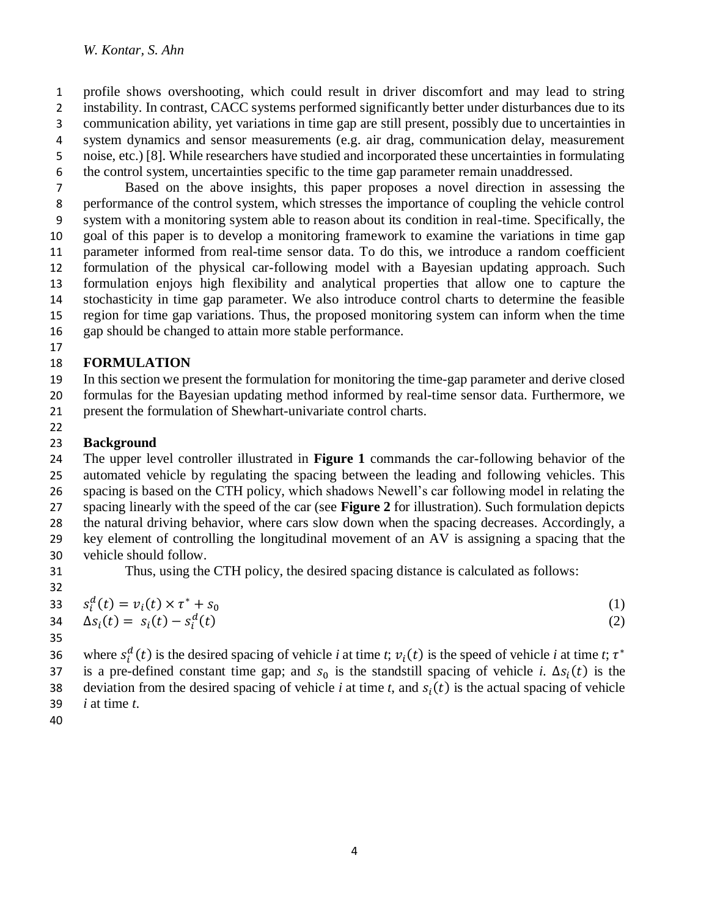profile shows overshooting, which could result in driver discomfort and may lead to string 2 instability. In contrast, CACC systems performed significantly better under disturbances due to its communication ability, yet variations in time gap are still present, possibly due to uncertainties in system dynamics and sensor measurements (e.g. air drag, communication delay, measurement noise, etc.) [8]. While researchers have studied and incorporated these uncertainties in formulating the control system, uncertainties specific to the time gap parameter remain unaddressed.

 Based on the above insights, this paper proposes a novel direction in assessing the performance of the control system, which stresses the importance of coupling the vehicle control system with a monitoring system able to reason about its condition in real-time. Specifically, the goal of this paper is to develop a monitoring framework to examine the variations in time gap parameter informed from real-time sensor data. To do this, we introduce a random coefficient formulation of the physical car-following model with a Bayesian updating approach. Such formulation enjoys high flexibility and analytical properties that allow one to capture the stochasticity in time gap parameter. We also introduce control charts to determine the feasible region for time gap variations. Thus, the proposed monitoring system can inform when the time gap should be changed to attain more stable performance.

# **FORMULATION**

- In this section we present the formulation for monitoring the time-gap parameter and derive closed
- formulas for the Bayesian updating method informed by real-time sensor data. Furthermore, we
- present the formulation of Shewhart-univariate control charts.
- 

# **Background**

 The upper level controller illustrated in **Figure 1** commands the car-following behavior of the automated vehicle by regulating the spacing between the leading and following vehicles. This

spacing is based on the CTH policy, which shadows Newell's car following model in relating the

spacing linearly with the speed of the car (see **Figure 2** for illustration). Such formulation depicts

the natural driving behavior, where cars slow down when the spacing decreases. Accordingly, a

- key element of controlling the longitudinal movement of an AV is assigning a spacing that the vehicle should follow.
- 

Thus, using the CTH policy, the desired spacing distance is calculated as follows:

32  
\n33 
$$
s_i^d(t) = v_i(t) \times \tau^* + s_0
$$
  
\n34  $\Delta s_i(t) = s_i(t) - s_i^d(t)$  (1)

where  $s_i^d(t)$  is the desired spacing of vehicle *i* at time *t*;  $v_i(t)$  is the speed of vehicle *i* at time *t*;  $\tau^*$  as is a pre-defined constant time gap; and  $s_0$  is the standstill spacing of vehicle *i*.  $\Delta s_i(t)$  is the deviation from the desired spacing of vehicle *i* at time *t*, and  $s<sub>i</sub>(t)$  is the actual spacing of vehicle *i* at time *t*.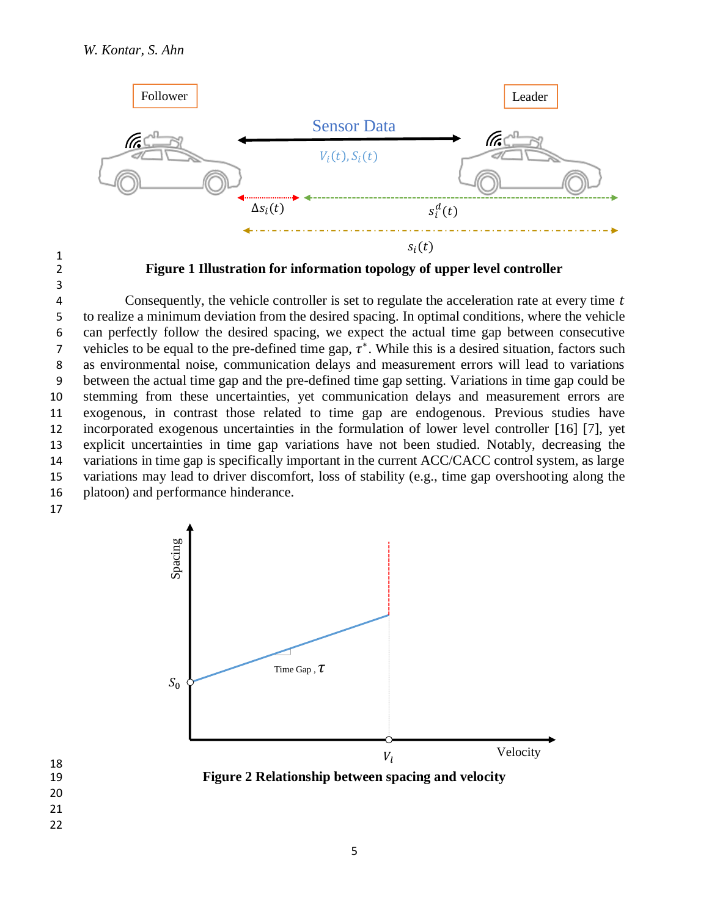

1 3

2 **Figure 1 Illustration for information topology of upper level controller**

4 Consequently, the vehicle controller is set to regulate the acceleration rate at every time t to realize a minimum deviation from the desired spacing. In optimal conditions, where the vehicle can perfectly follow the desired spacing, we expect the actual time gap between consecutive 7 vehicles to be equal to the pre-defined time gap,  $\tau^*$ . While this is a desired situation, factors such as environmental noise, communication delays and measurement errors will lead to variations between the actual time gap and the pre-defined time gap setting. Variations in time gap could be stemming from these uncertainties, yet communication delays and measurement errors are exogenous, in contrast those related to time gap are endogenous. Previous studies have incorporated exogenous uncertainties in the formulation of lower level controller [16] [7], yet explicit uncertainties in time gap variations have not been studied. Notably, decreasing the variations in time gap is specifically important in the current ACC/CACC control system, as large variations may lead to driver discomfort, loss of stability (e.g., time gap overshooting along the platoon) and performance hinderance.



19 **Figure 2 Relationship between spacing and velocity**

- 18 20
- 21
- 22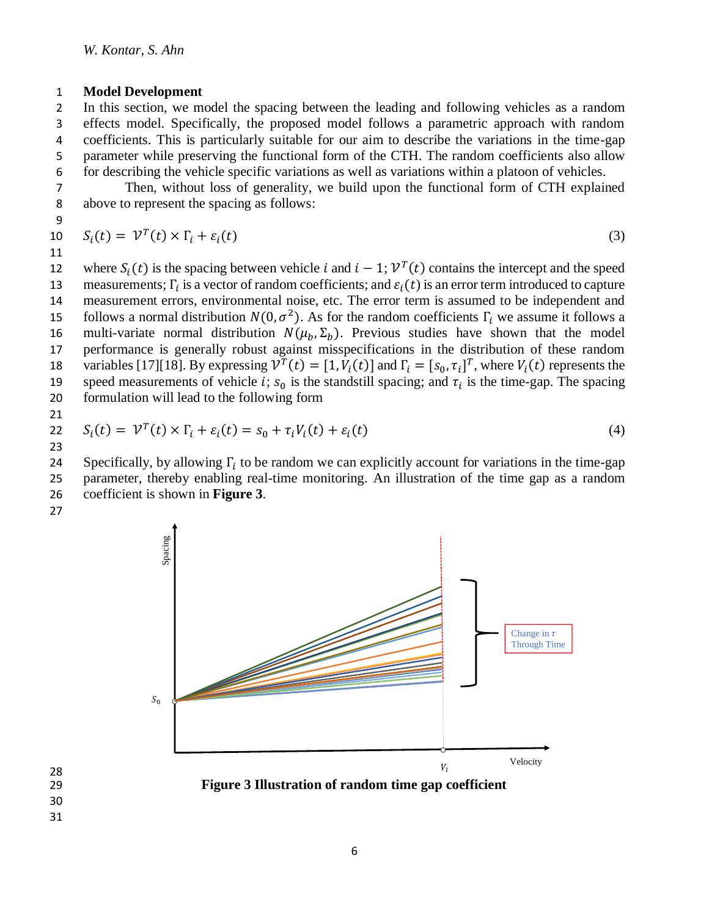#### 1 **Model Development**

 In this section, we model the spacing between the leading and following vehicles as a random effects model. Specifically, the proposed model follows a parametric approach with random coefficients. This is particularly suitable for our aim to describe the variations in the time-gap parameter while preserving the functional form of the CTH. The random coefficients also allow for describing the vehicle specific variations as well as variations within a platoon of vehicles.

7 Then, without loss of generality, we build upon the functional form of CTH explained 8 above to represent the spacing as follows:

9

11

$$
10 \tS_i(t) = \mathcal{V}^T(t) \times \Gamma_i + \varepsilon_i(t) \tag{3}
$$

12 where  $S_i(t)$  is the spacing between vehicle *i* and  $i - 1$ ;  $V^T(t)$  contains the intercept and the speed 13 measurements;  $\Gamma_i$  is a vector of random coefficients; and  $\varepsilon_i(t)$  is an error term introduced to capture 14 measurement errors, environmental noise, etc. The error term is assumed to be independent and 15 follows a normal distribution  $N(0, \sigma^2)$ . As for the random coefficients  $\Gamma_i$  we assume it follows a 16 multi-variate normal distribution  $N(\mu_b, \Sigma_b)$ . Previous studies have shown that the model 17 performance is generally robust against misspecifications in the distribution of these random 18 variables [17][18]. By expressing  $\overline{V}^T(t) = [1, V_i(t)]$  and  $\Gamma_i = [s_0, \tau_i]^T$ , where  $V_i(t)$  represents the 19 speed measurements of vehicle *i*;  $s_0$  is the standstill spacing; and  $\tau_i$  is the time-gap. The spacing 20 formulation will lead to the following form

21

$$
22 \tS_i(t) = \mathcal{V}^T(t) \times \Gamma_i + \varepsilon_i(t) = s_0 + \tau_i V_i(t) + \varepsilon_i(t)
$$
\n
$$
(4)
$$

23

Specifically, by allowing  $\Gamma_i$  to be random we can explicitly account for variations in the time-gap 25 parameter, thereby enabling real-time monitoring. An illustration of the time gap as a random 26 coefficient is shown in **Figure 3**.

27



29 **Figure 3 Illustration of random time gap coefficient**

28 30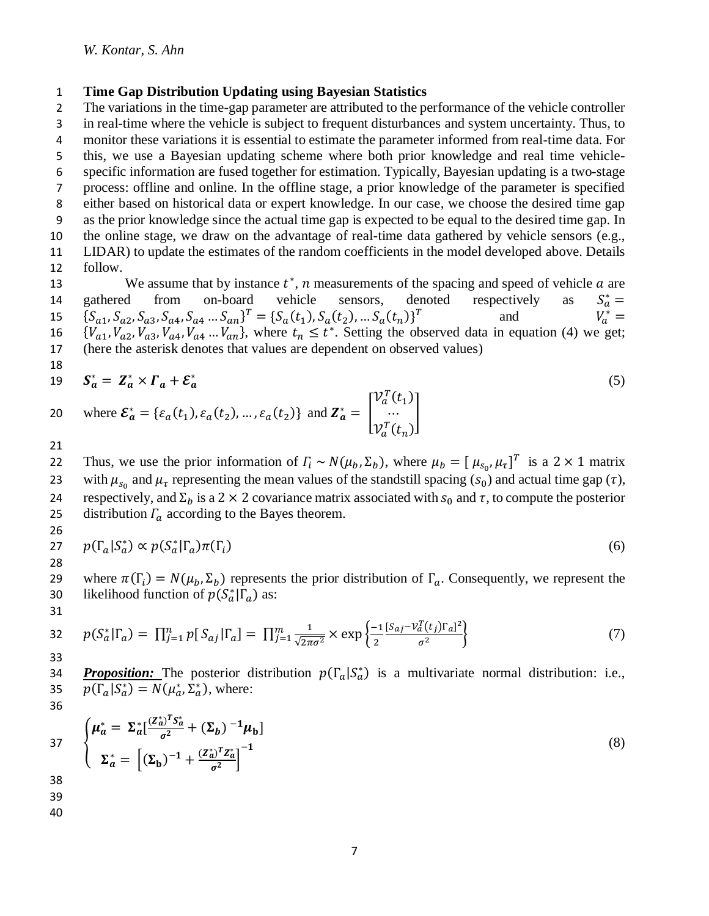### 1 **Time Gap Distribution Updating using Bayesian Statistics**

where  $\mathcal{E}_a^* = \{\varepsilon_a(t_1), \varepsilon_a(t_2), ..., \varepsilon_a(t_2)\}\$  and  $\mathbf{Z}_a^* = \mathbf{Z}_a$ 

20 where  $\mathcal{E}_a^* = {\varepsilon_a(t_1), \varepsilon_a(t_2), ..., \varepsilon_a(t_2)}$  and  $\mathbf{Z}_a^* = \begin{bmatrix} ... \\ ... \end{bmatrix}$ 

 The variations in the time-gap parameter are attributed to the performance of the vehicle controller in real-time where the vehicle is subject to frequent disturbances and system uncertainty. Thus, to monitor these variations it is essential to estimate the parameter informed from real-time data. For this, we use a Bayesian updating scheme where both prior knowledge and real time vehicle- specific information are fused together for estimation. Typically, Bayesian updating is a two-stage process: offline and online. In the offline stage, a prior knowledge of the parameter is specified either based on historical data or expert knowledge. In our case, we choose the desired time gap as the prior knowledge since the actual time gap is expected to be equal to the desired time gap. In the online stage, we draw on the advantage of real-time data gathered by vehicle sensors (e.g., LIDAR) to update the estimates of the random coefficients in the model developed above. Details 12 follow.

13 We assume that by instance  $t^*$ , *n* measurements of the spacing and speed of vehicle  $a$  are gathered from on-board vehicle sensors, denoted respectively as  $S_a^* =$ 14 gathered from on-board vehicle sensors, denoted respectively as  $S_a^* =$ 15  ${S_{a1}, S_{a2}, S_{a3}, S_{a4}, S_{a4} ... S_{an}}^T = {S_a(t_1), S_a(t_2), ... S_a(t_n)}^T$  and  $V_a^* =$ and  $V_a^* =$ 16  ${V_{a_1}, V_{a_2}, V_{a_3}, V_{a_4}, V_{a_4} \dots V_{a_n}}$ , where  $t_n \le t^*$ . Setting the observed data in equation (4) we get; 17 (here the asterisk denotes that values are dependent on observed values) 18

19 
$$
\mathbf{S}_a^* = \mathbf{Z}_a^* \times \mathbf{\Gamma}_a + \mathbf{\mathcal{E}}_a^*
$$
 (5)

…  $v_a^T(t_n)$ 

$$
\mathbf{21} \\
$$

22 Thus, we use the prior information of  $\Gamma_i \sim N(\mu_b, \Sigma_b)$ , where  $\mu_b = [\mu_{s_0}, \mu_{\tau}]^T$  is a 2 × 1 matrix 23 with  $\mu_{s_0}$  and  $\mu_{\tau}$  representing the mean values of the standstill spacing  $(s_0)$  and actual time gap  $(\tau)$ , 24 respectively, and  $\Sigma_b$  is a 2 × 2 covariance matrix associated with  $s_0$  and τ, to compute the posterior 25 distribution  $\Gamma_a$  according to the Bayes theorem. 26

$$
27 \t p(\Gamma_a | S_a^*) \propto p(S_a^* | \Gamma_a) \pi(\Gamma_i) \t (6)
$$

28

29 where  $\pi(\Gamma_i) = N(\mu_b, \Sigma_b)$  represents the prior distribution of  $\Gamma_a$ . Consequently, we represent the 30 likelihood function of  $p(S_a^*|\Gamma_a)$  as: 31

32 
$$
p(S_a^*|\Gamma_a) = \prod_{j=1}^n p[S_{aj}|\Gamma_a] = \prod_{j=1}^m \frac{1}{\sqrt{2\pi\sigma^2}} \times \exp\left\{\frac{-1}{2} \frac{[S_{aj} - \nu_d^T(t_j)\Gamma_a]^2}{\sigma^2}\right\}
$$
 (7)

34 **Proposition:** The posterior distribution  $p(\Gamma_a | S_a^*)$  is a multivariate normal distribution: i.e., 35  $p(\Gamma_a | S_a^*) = N(\mu_a^*, \Sigma_a^*)$ , where: 36

37 
$$
\begin{cases} \mu_a^* = \Sigma_a^* \left[ \frac{(Z_a^*)^T S_a^*}{\sigma^2} + (\Sigma_b)^{-1} \mu_b \right] \\ \Sigma_a^* = \left[ (\Sigma_b)^{-1} + \frac{(Z_a^*)^T Z_a^*}{\sigma^2} \right]^{-1} \end{cases}
$$
 (8)

- 38
- 39
- 40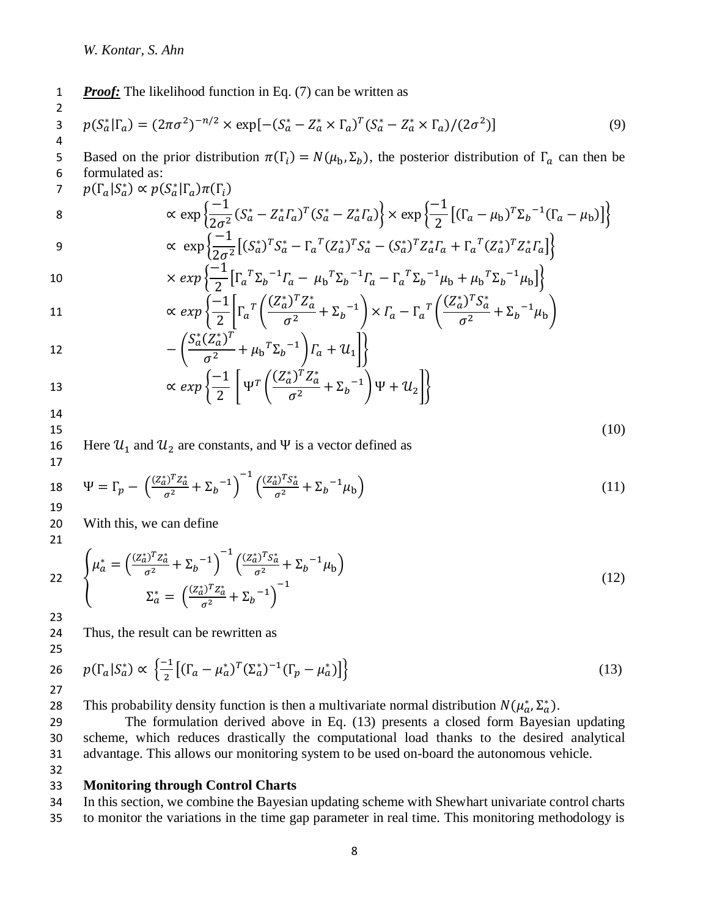1 *Proof:* The likelihood function in Eq. (7) can be written as

3 
$$
p(S_a^*|\Gamma_a) = (2\pi\sigma^2)^{-n/2} \times \exp[-(S_a^* - Z_a^* \times \Gamma_a)^T (S_a^* - Z_a^* \times \Gamma_a)/(2\sigma^2)]
$$
 (9)

Based on the prior distribution  $\pi(\Gamma_i) = N(\mu_b, \Sigma_b)$ , the posterior distribution of  $\Gamma_a$  can then be 6 formulated as:

$$
p(\Gamma_a|S_a^*) \propto p(S_a^*|\Gamma_a)\pi(\Gamma_i)
$$

$$
\propto \exp\left\{\frac{-1}{2\sigma^2}(S_a^* - Z_a^* \Gamma_a)^T (S_a^* - Z_a^* \Gamma_a)\right\} \times \exp\left\{\frac{-1}{2} \left[ (\Gamma_a - \mu_b)^T \Sigma_b^{-1} (\Gamma_a - \mu_b) \right] \right\}
$$
  
 
$$
\propto \exp\left\{\frac{-1}{2\sigma^2} \left[ (S_a^*)^T S_a^* - \Gamma_a^T (Z_a^*)^T S_a^* - (S_a^*)^T Z_a^* \Gamma_a + \Gamma_a^T (Z_a^*)^T Z_a^* \Gamma_a \right] \right\}
$$

$$
\propto \exp\left\{\frac{1}{2\sigma^2} \left[ (S_a^*)^T S_a^* - \Gamma_a^T (Z_a^*)^T S_a^* - (S_a^*)^T Z_a^* \Gamma_a + \Gamma_a^T (Z_a^*)^T Z_a^* \Gamma_a \right] \right\}
$$
  
10  

$$
\times \exp\left\{\frac{-1}{2} \left[ \Gamma_a^T \Sigma_b^{-1} \Gamma_a - \mu_b^T \Sigma_b^{-1} \Gamma_a - \Gamma_a^T \Sigma_b^{-1} \mu_b + \mu_b^T \Sigma_b^{-1} \mu_b \right] \right\}
$$

11 
$$
\propto exp\left\{\frac{-1}{2}\left[\Gamma_a^T\left(\frac{(Z_a^*)^T Z_a^*}{\sigma^2} + \Sigma_b^{-1}\right) \times \Gamma_a - \Gamma_a^T\left(\frac{(Z_a^*)^T S_a^*}{\sigma^2} + \Sigma_b^{-1}\right) \right\}\right\}
$$

12 
$$
-\left(\frac{S_a^*(Z_a^*)^T}{\sigma^2} + \mu_b^T \Sigma_b^{-1}\right) \Gamma_a + \mathcal{U}_1 \left[\right]
$$

13 
$$
\propto \exp\left\{\frac{-1}{2}\left[\Psi^T\left(\frac{(Z_a^*)^T Z_a^*}{\sigma^2} + \Sigma_b^{-1}\right)\Psi + \mathcal{U}_2\right]\right\}
$$

2

16 Here  $\mathcal{U}_1$  and  $\mathcal{U}_2$  are constants, and  $\Psi$  is a vector defined as

 $15$  (10)

Here 
$$
u_1
$$
 and  $u_2$  are constants, and  $\Psi$  is a vector defined as 17

18 
$$
\Psi = \Gamma_p - \left(\frac{(Z_a^*)^T Z_a^*}{\sigma^2} + \Sigma_b^{-1}\right)^{-1} \left(\frac{(Z_a^*)^T S_a^*}{\sigma^2} + \Sigma_b^{-1} \mu_b\right)
$$
(11)

20 With this, we can define

21

22 
$$
\begin{cases} \mu_a^* = \left(\frac{(Z_a^*)^T Z_a^*}{\sigma^2} + \Sigma_b^{-1}\right)^{-1} \left(\frac{(Z_a^*)^T S_a^*}{\sigma^2} + \Sigma_b^{-1} \mu_b\right) \\ \Sigma_a^* = \left(\frac{(Z_a^*)^T Z_a^*}{\sigma^2} + \Sigma_b^{-1}\right)^{-1} \end{cases}
$$
(12)

23

24 Thus, the result can be rewritten as 25

26 
$$
p(\Gamma_a|S_a^*) \propto \left\{ \frac{-1}{2} \left[ (\Gamma_a - \mu_a^*)^T (\Sigma_a^*)^{-1} (\Gamma_p - \mu_a^*) \right] \right\}
$$
 (13)

28 This probability density function is then a multivariate normal distribution  $N(\mu_a^*, \Sigma_a^*)$ .

29 The formulation derived above in Eq. (13) presents a closed form Bayesian updating 30 scheme, which reduces drastically the computational load thanks to the desired analytical 31 advantage. This allows our monitoring system to be used on-board the autonomous vehicle.

32

### 33 **Monitoring through Control Charts**

34 In this section, we combine the Bayesian updating scheme with Shewhart univariate control charts 35 to monitor the variations in the time gap parameter in real time. This monitoring methodology is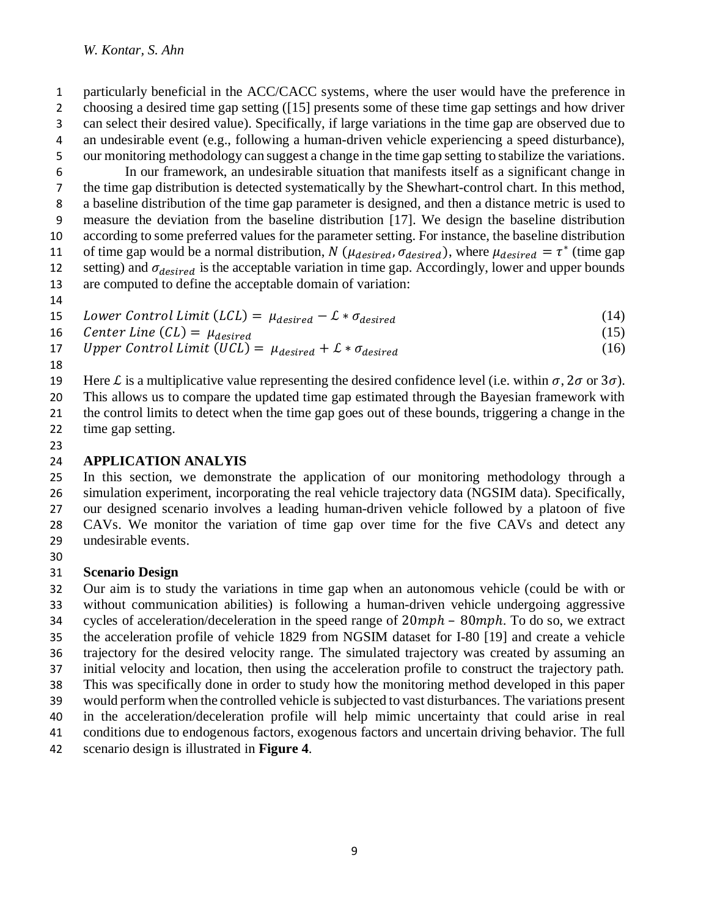particularly beneficial in the ACC/CACC systems, where the user would have the preference in choosing a desired time gap setting ([15] presents some of these time gap settings and how driver can select their desired value). Specifically, if large variations in the time gap are observed due to an undesirable event (e.g., following a human-driven vehicle experiencing a speed disturbance), our monitoring methodology can suggest a change in the time gap setting to stabilize the variations.

 In our framework, an undesirable situation that manifests itself as a significant change in the time gap distribution is detected systematically by the Shewhart-control chart. In this method, a baseline distribution of the time gap parameter is designed, and then a distance metric is used to measure the deviation from the baseline distribution [17]. We design the baseline distribution according to some preferred values for the parameter setting. For instance, the baseline distribution 11 of time gap would be a normal distribution, N ( $\mu_{desired}$ ,  $\sigma_{desired}$ ), where  $\mu_{desired} = \tau^*$  (time gap 12 setting) and  $\sigma_{desired}$  is the acceptable variation in time gap. Accordingly, lower and upper bounds are computed to define the acceptable domain of variation:

15 *Lower Control Limit*  $(LCL) = \mu_{desired} - \mathcal{L} * \sigma_{desired}$  (14)

16 *Center Line*  $(L) = \mu_{desired}$  (15)

17 Upper Control Limit (UCL) = 
$$
\mu_{desired} + L * \sigma_{desired}
$$
 (16)

19 Here L is a multiplicative value representing the desired confidence level (i.e. within  $\sigma$ ,  $2\sigma$  or  $3\sigma$ ).

This allows us to compare the updated time gap estimated through the Bayesian framework with

 the control limits to detect when the time gap goes out of these bounds, triggering a change in the time gap setting.

## **APPLICATION ANALYIS**

 In this section, we demonstrate the application of our monitoring methodology through a simulation experiment, incorporating the real vehicle trajectory data (NGSIM data). Specifically, our designed scenario involves a leading human-driven vehicle followed by a platoon of five CAVs. We monitor the variation of time gap over time for the five CAVs and detect any undesirable events.

# **Scenario Design**

 Our aim is to study the variations in time gap when an autonomous vehicle (could be with or without communication abilities) is following a human-driven vehicle undergoing aggressive 34 cycles of acceleration/deceleration in the speed range of  $20 mph - 80 mph$ . To do so, we extract the acceleration profile of vehicle 1829 from NGSIM dataset for I-80 [19] and create a vehicle trajectory for the desired velocity range. The simulated trajectory was created by assuming an initial velocity and location, then using the acceleration profile to construct the trajectory path. This was specifically done in order to study how the monitoring method developed in this paper would perform when the controlled vehicle is subjected to vast disturbances. The variations present in the acceleration/deceleration profile will help mimic uncertainty that could arise in real conditions due to endogenous factors, exogenous factors and uncertain driving behavior. The full scenario design is illustrated in **Figure 4**.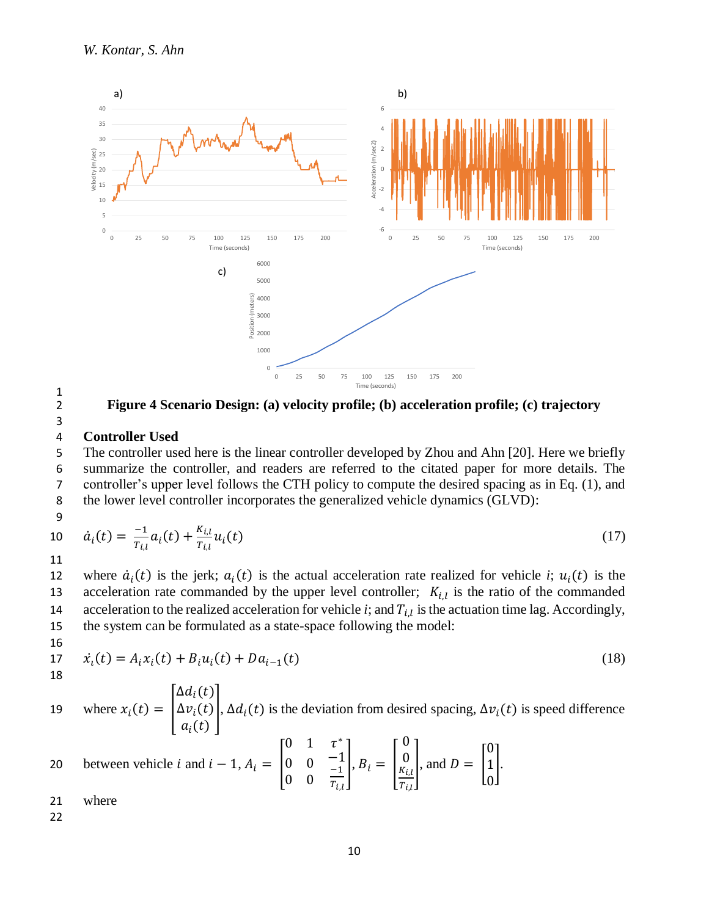

2 **Figure 4 Scenario Design: (a) velocity profile; (b) acceleration profile; (c) trajectory**

 $\frac{1}{2}$ 

### 4 **Controller Used**

 The controller used here is the linear controller developed by Zhou and Ahn [20]. Here we briefly summarize the controller, and readers are referred to the citated paper for more details. The controller's upper level follows the CTH policy to compute the desired spacing as in Eq. (1), and the lower level controller incorporates the generalized vehicle dynamics (GLVD): 9

10 
$$
\dot{a}_i(t) = \frac{-1}{T_{i,l}} a_i(t) + \frac{K_{i,l}}{T_{i,l}} u_i(t)
$$
 (17)

11

12 where  $\dot{a}_i(t)$  is the jerk;  $a_i(t)$  is the actual acceleration rate realized for vehicle *i*;  $u_i(t)$  is the acceleration rate commanded by the upper level controller;  $K_{i,l}$  is the ratio of the commanded acceleration to the realized acceleration for vehicle  $i$ ; and  $T_{i,l}$  is the actuation time lag. Accordingly, 15 the system can be formulated as a state-space following the model:

16  
17 
$$
\dot{x}_i(t) = A_i x_i(t) + B_i u_i(t) + D a_{i-1}(t)
$$
 (18)

18

where  $x_i(t) =$  $\Delta d_i$  $(t)$  $\Delta v_i(t)$  $a_i(t)$ 19 where  $x_i(t) = |\Delta v_i(t)|$ ,  $\Delta d_i(t)$  is the deviation from desired spacing,  $\Delta v_i(t)$  is speed difference ∗  $\sim$  0  $\sim$ 

20 between vehicle *i* and *i* – 1, 
$$
A_i = \begin{bmatrix} 0 & 1 & \tau^* \\ 0 & 0 & -1 \\ 0 & 0 & \frac{-1}{T_{i,l}} \end{bmatrix}, B_i = \begin{bmatrix} 0 \\ 0 \\ \frac{K_{i,l}}{T_{i,l}} \end{bmatrix}
$$
, and  $D = \begin{bmatrix} 0 \\ 1 \\ 0 \end{bmatrix}$ .

- 21 where
- 22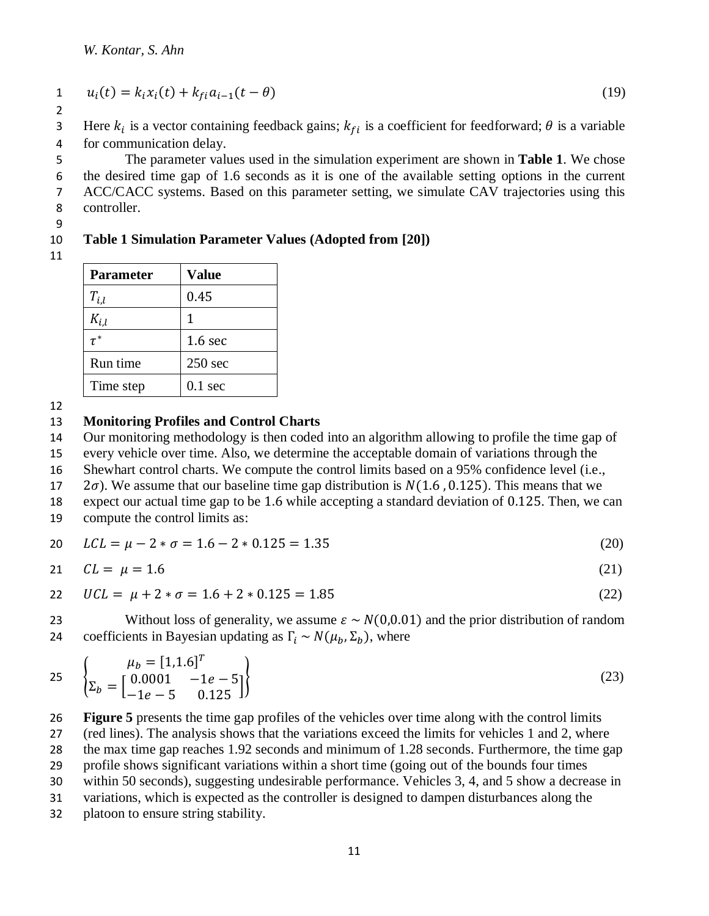1 
$$
u_i(t) = k_i x_i(t) + k_{fi} a_{i-1}(t - \theta)
$$
 (19)

Here  $k_i$  is a vector containing feedback gains;  $k_{fi}$  is a coefficient for feedforward;  $\theta$  is a variable 4 for communication delay.

 The parameter values used in the simulation experiment are shown in **Table 1**. We chose the desired time gap of 1.6 seconds as it is one of the available setting options in the current ACC/CACC systems. Based on this parameter setting, we simulate CAV trajectories using this controller.

#### 9

## 10 **Table 1 Simulation Parameter Values (Adopted from [20])**

11

| <b>Parameter</b> | <b>Value</b>       |
|------------------|--------------------|
| $T_{i,l}$        | 0.45               |
| $K_{i.l}$        | 1                  |
| $\tau^*$         | 1.6 <sub>sec</sub> |
| Run time         | $250$ sec          |
| Time step        | $0.1 \text{ sec}$  |

12

### 13 **Monitoring Profiles and Control Charts**

14 Our monitoring methodology is then coded into an algorithm allowing to profile the time gap of

15 every vehicle over time. Also, we determine the acceptable domain of variations through the

16 Shewhart control charts. We compute the control limits based on a 95% confidence level (i.e.,

17  $2\sigma$ ). We assume that our baseline time gap distribution is  $N(1.6, 0.125)$ . This means that we

18 expect our actual time gap to be 1.6 while accepting a standard deviation of 0.125. Then, we can

19 compute the control limits as:

$$
20 \t LCL = \mu - 2 * \sigma = 1.6 - 2 * 0.125 = 1.35 \t (20)
$$

$$
21 \t CL = \mu = 1.6 \t (21)
$$

$$
122 \quad UCL = \mu + 2 * \sigma = 1.6 + 2 * 0.125 = 1.85 \tag{22}
$$

23 Without loss of generality, we assume  $\varepsilon \sim N(0,0.01)$  and the prior distribution of random 24 coefficients in Bayesian updating as  $\Gamma_i \sim N(\mu_h, \Sigma_h)$ , where

$$
25 \quad\n \begin{cases}\n \mu_b = [1, 1.6]^T \\
\Sigma_b = \begin{bmatrix}\n 0.0001 & -1e - 5 \\
-1e - 5 & 0.125\n \end{bmatrix}\n \end{cases}\n \tag{23}
$$

26 **Figure 5** presents the time gap profiles of the vehicles over time along with the control limits 27 (red lines). The analysis shows that the variations exceed the limits for vehicles 1 and 2, where

28 the max time gap reaches 1.92 seconds and minimum of 1.28 seconds. Furthermore, the time gap

29 profile shows significant variations within a short time (going out of the bounds four times

30 within 50 seconds), suggesting undesirable performance. Vehicles 3, 4, and 5 show a decrease in

31 variations, which is expected as the controller is designed to dampen disturbances along the

32 platoon to ensure string stability.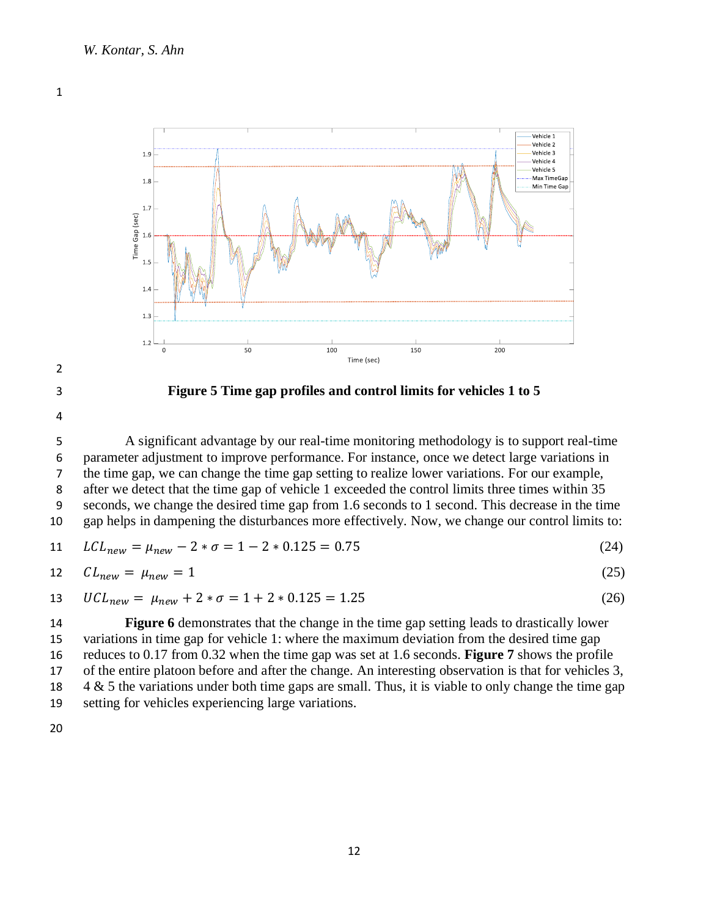

**Figure 5 Time gap profiles and control limits for vehicles 1 to 5**

 A significant advantage by our real-time monitoring methodology is to support real-time parameter adjustment to improve performance. For instance, once we detect large variations in the time gap, we can change the time gap setting to realize lower variations. For our example, after we detect that the time gap of vehicle 1 exceeded the control limits three times within 35 seconds, we change the desired time gap from 1.6 seconds to 1 second. This decrease in the time gap helps in dampening the disturbances more effectively. Now, we change our control limits to:

$$
11 \quad LCL_{new} = \mu_{new} - 2 * \sigma = 1 - 2 * 0.125 = 0.75 \tag{24}
$$

$$
12 \t CL_{new} = \mu_{new} = 1 \t (25)
$$

$$
13 \t UCL_{new} = \mu_{new} + 2 * \sigma = 1 + 2 * 0.125 = 1.25 \t (26)
$$

 **Figure 6** demonstrates that the change in the time gap setting leads to drastically lower variations in time gap for vehicle 1: where the maximum deviation from the desired time gap reduces to 0.17 from 0.32 when the time gap was set at 1.6 seconds. **Figure 7** shows the profile of the entire platoon before and after the change. An interesting observation is that for vehicles 3, 4 & 5 the variations under both time gaps are small. Thus, it is viable to only change the time gap setting for vehicles experiencing large variations.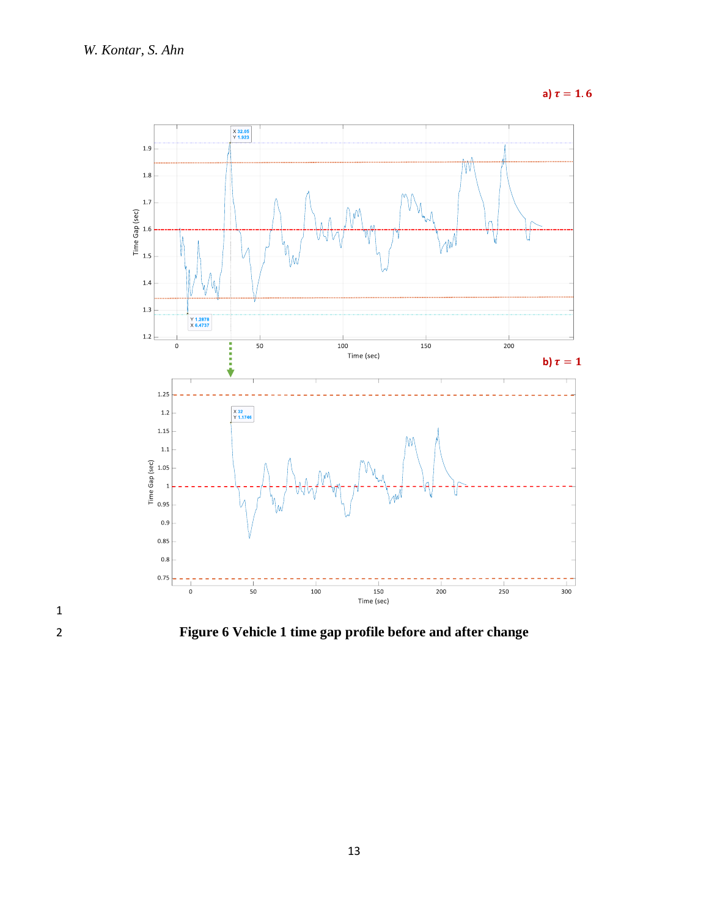**a)**  $\tau = 1.6$ 



2 **Figure 6 Vehicle 1 time gap profile before and after change**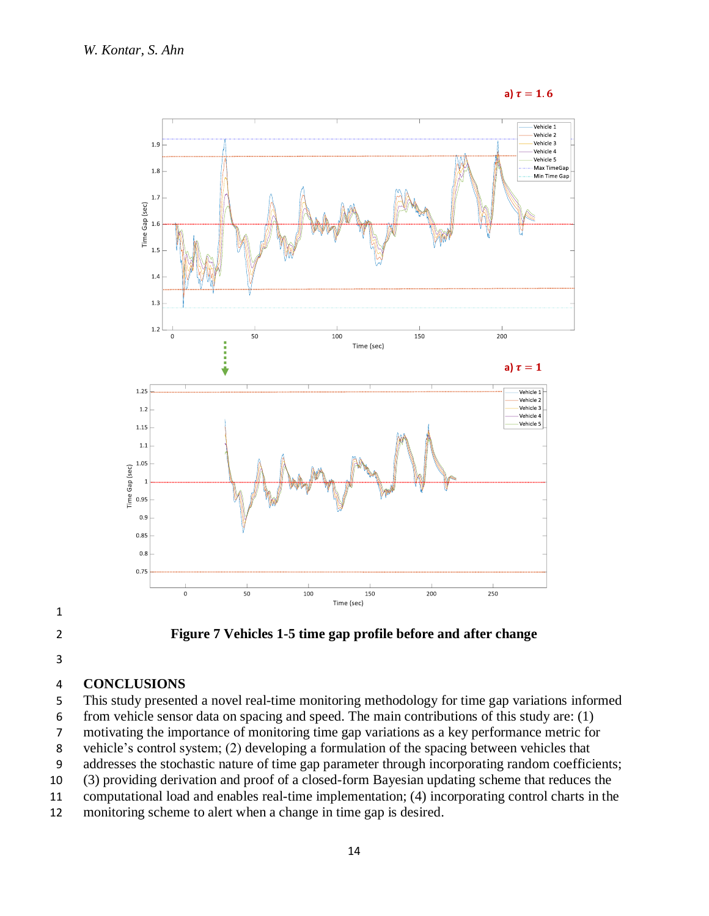











## **CONCLUSIONS**

This study presented a novel real-time monitoring methodology for time gap variations informed

from vehicle sensor data on spacing and speed. The main contributions of this study are: (1)

motivating the importance of monitoring time gap variations as a key performance metric for

vehicle's control system; (2) developing a formulation of the spacing between vehicles that

addresses the stochastic nature of time gap parameter through incorporating random coefficients;

(3) providing derivation and proof of a closed-form Bayesian updating scheme that reduces the

computational load and enables real-time implementation; (4) incorporating control charts in the

monitoring scheme to alert when a change in time gap is desired.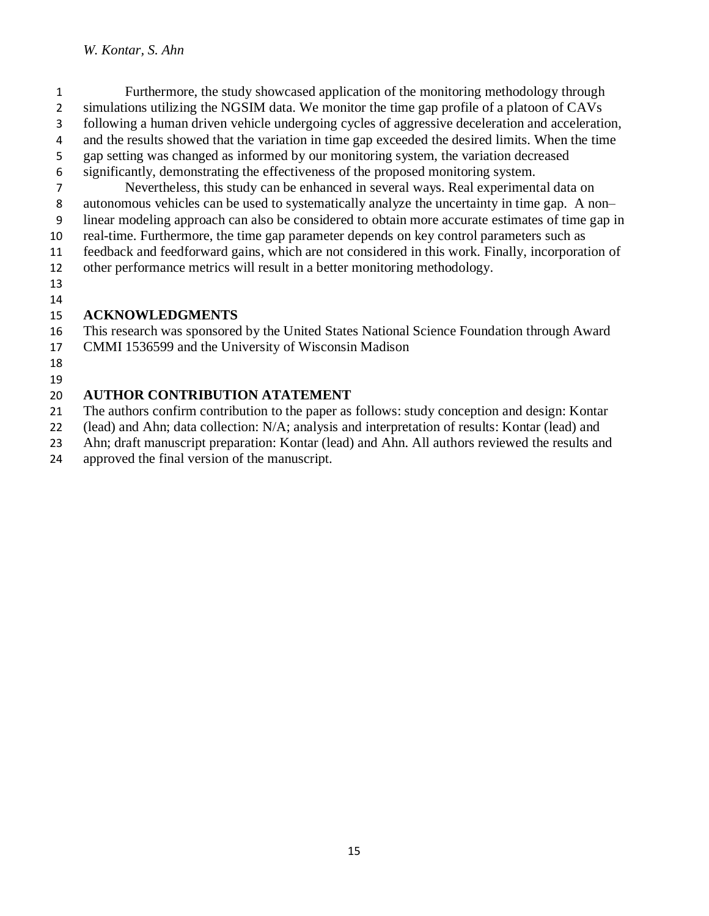### *W. Kontar, S. Ahn*

- Furthermore, the study showcased application of the monitoring methodology through simulations utilizing the NGSIM data. We monitor the time gap profile of a platoon of CAVs following a human driven vehicle undergoing cycles of aggressive deceleration and acceleration, and the results showed that the variation in time gap exceeded the desired limits. When the time gap setting was changed as informed by our monitoring system, the variation decreased
- significantly, demonstrating the effectiveness of the proposed monitoring system.
- Nevertheless, this study can be enhanced in several ways. Real experimental data on autonomous vehicles can be used to systematically analyze the uncertainty in time gap. A non–
- linear modeling approach can also be considered to obtain more accurate estimates of time gap in
- real-time. Furthermore, the time gap parameter depends on key control parameters such as
- feedback and feedforward gains, which are not considered in this work. Finally, incorporation of
- other performance metrics will result in a better monitoring methodology.
- 

# 

## **ACKNOWLEDGMENTS**

- This research was sponsored by the United States National Science Foundation through Award
- CMMI 1536599 and the University of Wisconsin Madison
- 

#### **AUTHOR CONTRIBUTION ATATEMENT**

The authors confirm contribution to the paper as follows: study conception and design: Kontar

(lead) and Ahn; data collection: N/A; analysis and interpretation of results: Kontar (lead) and

Ahn; draft manuscript preparation: Kontar (lead) and Ahn. All authors reviewed the results and

approved the final version of the manuscript.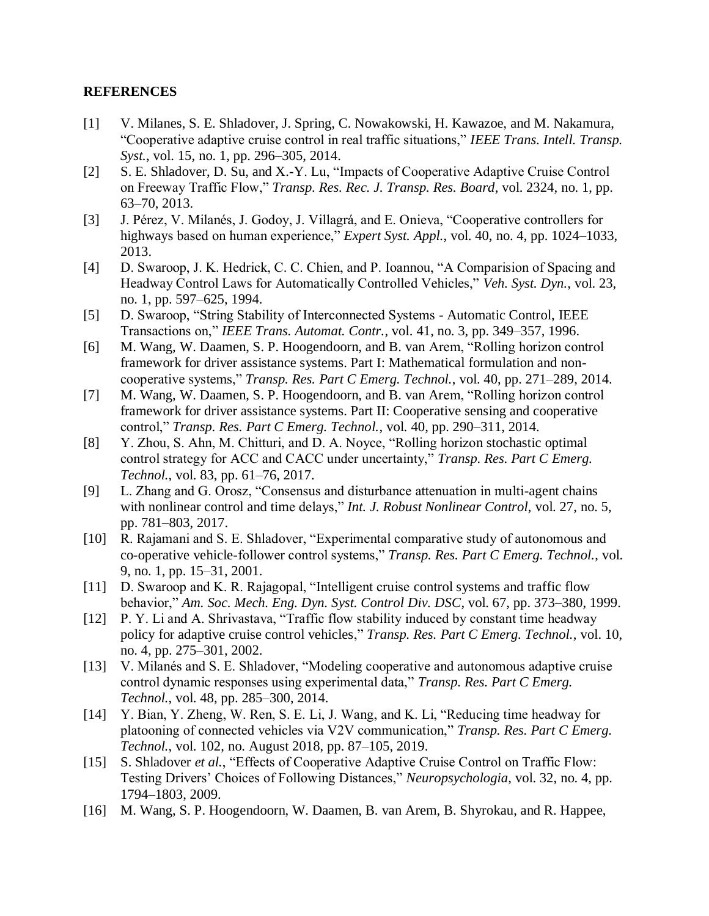### **REFERENCES**

- [1] V. Milanes, S. E. Shladover, J. Spring, C. Nowakowski, H. Kawazoe, and M. Nakamura, "Cooperative adaptive cruise control in real traffic situations," *IEEE Trans. Intell. Transp. Syst.*, vol. 15, no. 1, pp. 296–305, 2014.
- [2] S. E. Shladover, D. Su, and X.-Y. Lu, "Impacts of Cooperative Adaptive Cruise Control on Freeway Traffic Flow," *Transp. Res. Rec. J. Transp. Res. Board*, vol. 2324, no. 1, pp. 63–70, 2013.
- [3] J. Pérez, V. Milanés, J. Godoy, J. Villagrá, and E. Onieva, "Cooperative controllers for highways based on human experience," *Expert Syst. Appl.*, vol. 40, no. 4, pp. 1024–1033, 2013.
- [4] D. Swaroop, J. K. Hedrick, C. C. Chien, and P. Ioannou, "A Comparision of Spacing and Headway Control Laws for Automatically Controlled Vehicles," *Veh. Syst. Dyn.*, vol. 23, no. 1, pp. 597–625, 1994.
- [5] D. Swaroop, "String Stability of Interconnected Systems Automatic Control, IEEE Transactions on," *IEEE Trans. Automat. Contr.*, vol. 41, no. 3, pp. 349–357, 1996.
- [6] M. Wang, W. Daamen, S. P. Hoogendoorn, and B. van Arem, "Rolling horizon control framework for driver assistance systems. Part I: Mathematical formulation and noncooperative systems," *Transp. Res. Part C Emerg. Technol.*, vol. 40, pp. 271–289, 2014.
- [7] M. Wang, W. Daamen, S. P. Hoogendoorn, and B. van Arem, "Rolling horizon control framework for driver assistance systems. Part II: Cooperative sensing and cooperative control," *Transp. Res. Part C Emerg. Technol.*, vol. 40, pp. 290–311, 2014.
- [8] Y. Zhou, S. Ahn, M. Chitturi, and D. A. Noyce, "Rolling horizon stochastic optimal control strategy for ACC and CACC under uncertainty," *Transp. Res. Part C Emerg. Technol.*, vol. 83, pp. 61–76, 2017.
- [9] L. Zhang and G. Orosz, "Consensus and disturbance attenuation in multi-agent chains with nonlinear control and time delays," *Int. J. Robust Nonlinear Control*, vol. 27, no. 5, pp. 781–803, 2017.
- [10] R. Rajamani and S. E. Shladover, "Experimental comparative study of autonomous and co-operative vehicle-follower control systems," *Transp. Res. Part C Emerg. Technol.*, vol. 9, no. 1, pp. 15–31, 2001.
- [11] D. Swaroop and K. R. Rajagopal, "Intelligent cruise control systems and traffic flow behavior," *Am. Soc. Mech. Eng. Dyn. Syst. Control Div. DSC*, vol. 67, pp. 373–380, 1999.
- [12] P. Y. Li and A. Shrivastava, "Traffic flow stability induced by constant time headway policy for adaptive cruise control vehicles," *Transp. Res. Part C Emerg. Technol.*, vol. 10, no. 4, pp. 275–301, 2002.
- [13] V. Milanés and S. E. Shladover, "Modeling cooperative and autonomous adaptive cruise control dynamic responses using experimental data," *Transp. Res. Part C Emerg. Technol.*, vol. 48, pp. 285–300, 2014.
- [14] Y. Bian, Y. Zheng, W. Ren, S. E. Li, J. Wang, and K. Li, "Reducing time headway for platooning of connected vehicles via V2V communication," *Transp. Res. Part C Emerg. Technol.*, vol. 102, no. August 2018, pp. 87–105, 2019.
- [15] S. Shladover *et al.*, "Effects of Cooperative Adaptive Cruise Control on Traffic Flow: Testing Drivers' Choices of Following Distances," *Neuropsychologia*, vol. 32, no. 4, pp. 1794–1803, 2009.
- [16] M. Wang, S. P. Hoogendoorn, W. Daamen, B. van Arem, B. Shyrokau, and R. Happee,